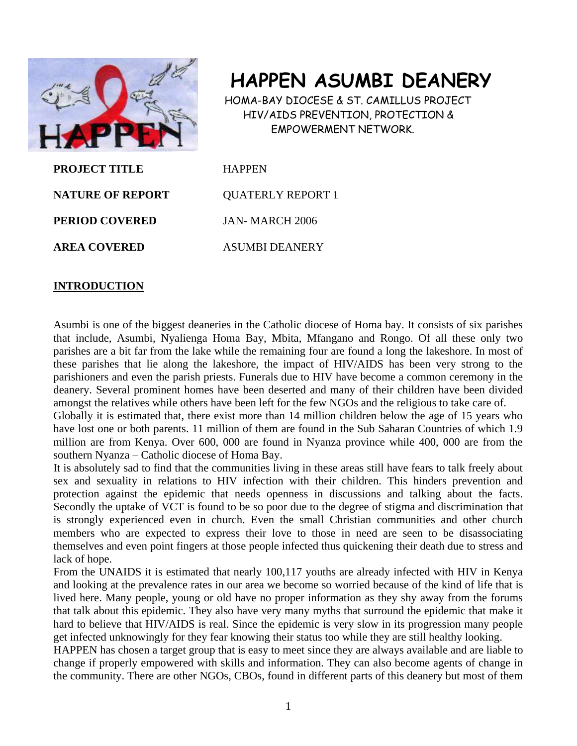

# **HAPPEN ASUMBI DEANERY**

 HOMA-BAY DIOCESE & ST. CAMILLUS PROJECT HIV/AIDS PREVENTION, PROTECTION & EMPOWERMENT NETWORK.

**PROJECT TITLE HAPPEN NATURE OF REPORT COUATERLY REPORT 1 PERIOD COVERED** JAN-MARCH 2006 **AREA COVERED ASUMBI DEANERY** 

## **INTRODUCTION**

Asumbi is one of the biggest deaneries in the Catholic diocese of Homa bay. It consists of six parishes that include, Asumbi, Nyalienga Homa Bay, Mbita, Mfangano and Rongo. Of all these only two parishes are a bit far from the lake while the remaining four are found a long the lakeshore. In most of these parishes that lie along the lakeshore, the impact of HIV/AIDS has been very strong to the parishioners and even the parish priests. Funerals due to HIV have become a common ceremony in the deanery. Several prominent homes have been deserted and many of their children have been divided amongst the relatives while others have been left for the few NGOs and the religious to take care of.

Globally it is estimated that, there exist more than 14 million children below the age of 15 years who have lost one or both parents. 11 million of them are found in the Sub Saharan Countries of which 1.9 million are from Kenya. Over 600, 000 are found in Nyanza province while 400, 000 are from the southern Nyanza – Catholic diocese of Homa Bay.

It is absolutely sad to find that the communities living in these areas still have fears to talk freely about sex and sexuality in relations to HIV infection with their children. This hinders prevention and protection against the epidemic that needs openness in discussions and talking about the facts. Secondly the uptake of VCT is found to be so poor due to the degree of stigma and discrimination that is strongly experienced even in church. Even the small Christian communities and other church members who are expected to express their love to those in need are seen to be disassociating themselves and even point fingers at those people infected thus quickening their death due to stress and lack of hope.

From the UNAIDS it is estimated that nearly 100,117 youths are already infected with HIV in Kenya and looking at the prevalence rates in our area we become so worried because of the kind of life that is lived here. Many people, young or old have no proper information as they shy away from the forums that talk about this epidemic. They also have very many myths that surround the epidemic that make it hard to believe that HIV/AIDS is real. Since the epidemic is very slow in its progression many people get infected unknowingly for they fear knowing their status too while they are still healthy looking.

HAPPEN has chosen a target group that is easy to meet since they are always available and are liable to change if properly empowered with skills and information. They can also become agents of change in the community. There are other NGOs, CBOs, found in different parts of this deanery but most of them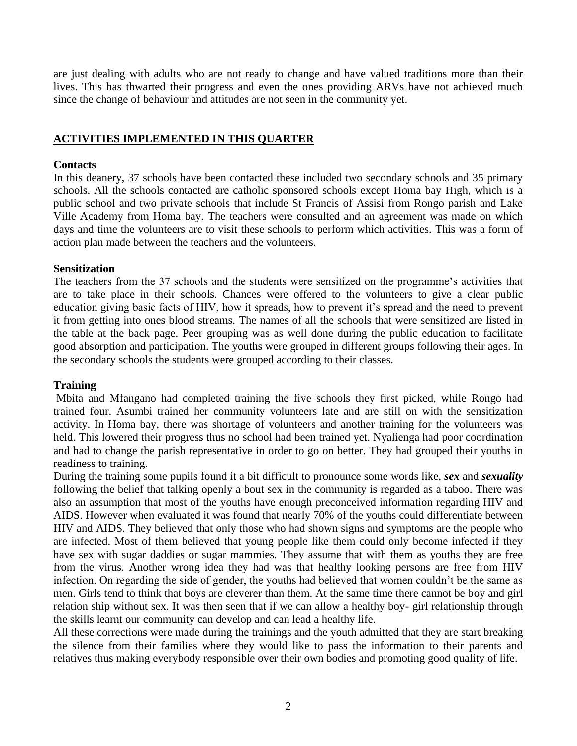are just dealing with adults who are not ready to change and have valued traditions more than their lives. This has thwarted their progress and even the ones providing ARVs have not achieved much since the change of behaviour and attitudes are not seen in the community yet.

## **ACTIVITIES IMPLEMENTED IN THIS QUARTER**

#### **Contacts**

In this deanery, 37 schools have been contacted these included two secondary schools and 35 primary schools. All the schools contacted are catholic sponsored schools except Homa bay High, which is a public school and two private schools that include St Francis of Assisi from Rongo parish and Lake Ville Academy from Homa bay. The teachers were consulted and an agreement was made on which days and time the volunteers are to visit these schools to perform which activities. This was a form of action plan made between the teachers and the volunteers.

#### **Sensitization**

The teachers from the 37 schools and the students were sensitized on the programme's activities that are to take place in their schools. Chances were offered to the volunteers to give a clear public education giving basic facts of HIV, how it spreads, how to prevent it's spread and the need to prevent it from getting into ones blood streams. The names of all the schools that were sensitized are listed in the table at the back page. Peer grouping was as well done during the public education to facilitate good absorption and participation. The youths were grouped in different groups following their ages. In the secondary schools the students were grouped according to their classes.

#### **Training**

Mbita and Mfangano had completed training the five schools they first picked, while Rongo had trained four. Asumbi trained her community volunteers late and are still on with the sensitization activity. In Homa bay, there was shortage of volunteers and another training for the volunteers was held. This lowered their progress thus no school had been trained yet. Nyalienga had poor coordination and had to change the parish representative in order to go on better. They had grouped their youths in readiness to training.

During the training some pupils found it a bit difficult to pronounce some words like, *sex* and *sexuality* following the belief that talking openly a bout sex in the community is regarded as a taboo. There was also an assumption that most of the youths have enough preconceived information regarding HIV and AIDS. However when evaluated it was found that nearly 70% of the youths could differentiate between HIV and AIDS. They believed that only those who had shown signs and symptoms are the people who are infected. Most of them believed that young people like them could only become infected if they have sex with sugar daddies or sugar mammies. They assume that with them as youths they are free from the virus. Another wrong idea they had was that healthy looking persons are free from HIV infection. On regarding the side of gender, the youths had believed that women couldn't be the same as men. Girls tend to think that boys are cleverer than them. At the same time there cannot be boy and girl relation ship without sex. It was then seen that if we can allow a healthy boy- girl relationship through the skills learnt our community can develop and can lead a healthy life.

All these corrections were made during the trainings and the youth admitted that they are start breaking the silence from their families where they would like to pass the information to their parents and relatives thus making everybody responsible over their own bodies and promoting good quality of life.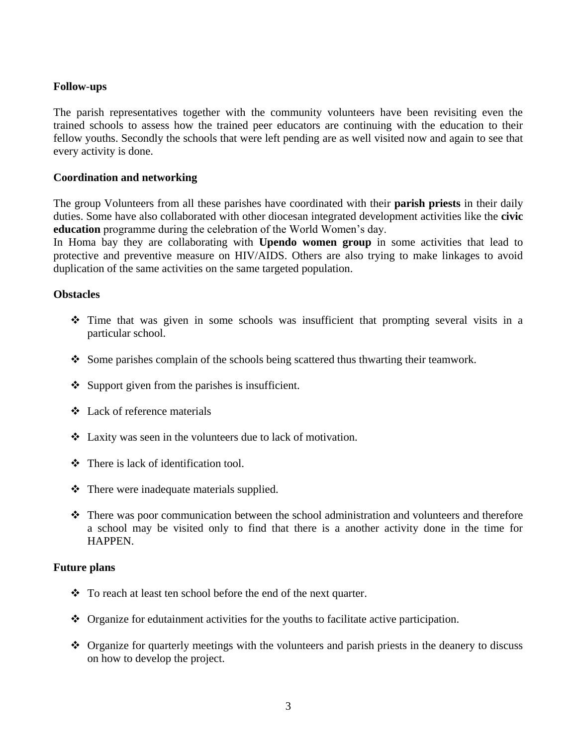#### **Follow**-**ups**

The parish representatives together with the community volunteers have been revisiting even the trained schools to assess how the trained peer educators are continuing with the education to their fellow youths. Secondly the schools that were left pending are as well visited now and again to see that every activity is done.

### **Coordination and networking**

The group Volunteers from all these parishes have coordinated with their **parish priests** in their daily duties. Some have also collaborated with other diocesan integrated development activities like the **civic education** programme during the celebration of the World Women's day.

In Homa bay they are collaborating with **Upendo women group** in some activities that lead to protective and preventive measure on HIV/AIDS. Others are also trying to make linkages to avoid duplication of the same activities on the same targeted population.

#### **Obstacles**

- Time that was given in some schools was insufficient that prompting several visits in a particular school.
- $\bullet$  Some parishes complain of the schools being scattered thus thwarting their teamwork.
- $\triangleleft$  Support given from the parishes is insufficient.
- Lack of reference materials
- Laxity was seen in the volunteers due to lack of motivation.
- There is lack of identification tool.
- $\triangle$  There were inadequate materials supplied.
- There was poor communication between the school administration and volunteers and therefore a school may be visited only to find that there is a another activity done in the time for HAPPEN.

#### **Future plans**

- To reach at least ten school before the end of the next quarter.
- Organize for edutainment activities for the youths to facilitate active participation.
- Organize for quarterly meetings with the volunteers and parish priests in the deanery to discuss on how to develop the project.